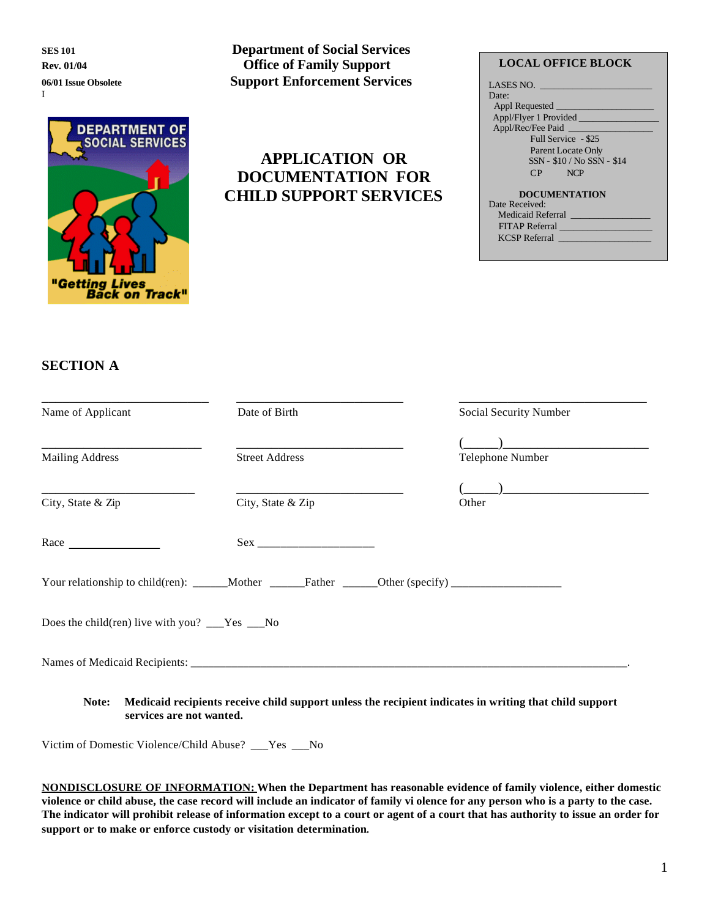I

# **DEPARTMENT OF SOCIAL SERVICES** п Getting Lives **Back on Track"**

### **SES 101 Department of Social Services Rev. 01/04 Office of Family Support 06/01 Issue Obsolete Support Enforcement Services**

# **APPLICATION OR DOCUMENTATION FOR CHILD SUPPORT SERVICES**

#### **LOCAL OFFICE BLOCK**

| LASES NO.                     |
|-------------------------------|
| Date:                         |
| Appl Requested                |
|                               |
| Appl/Rec/Fee Paid             |
| Full Service - \$25           |
| Parent Locate Only            |
| SSN - \$10 / No SSN - \$14    |
| $CP \quad \ddot{v} \quad NCP$ |
| <b>DOCUMENTATION</b>          |
| Date Received:                |
| Medicaid Referral             |
| <b>FITAP Referral</b>         |
| KCSP Referral                 |
|                               |

## **SECTION A**

| Name of Applicant                               | Date of Birth                                                                                       | Social Security Number |
|-------------------------------------------------|-----------------------------------------------------------------------------------------------------|------------------------|
| <b>Mailing Address</b>                          | <b>Street Address</b>                                                                               | Telephone Number       |
| City, State & Zip                               | City, State & Zip                                                                                   | Other                  |
| Race <b>Race Exercise 2018</b>                  |                                                                                                     |                        |
|                                                 | Your relationship to child(ren): ______Mother _______Father ______Other (specify) _________________ |                        |
| Does the child (ren) live with you? ___Yes __No |                                                                                                     |                        |
|                                                 |                                                                                                     |                        |

Victim of Domestic Violence/Child Abuse? \_\_\_Yes \_\_\_No

**NONDISCLOSURE OF INFORMATION: When the Department has reasonable evidence of family violence, either domestic violence or child abuse, the case record will include an indicator of family vi olence for any person who is a party to the case. The indicator will prohibit release of information except to a court or agent of a court that has authority to issue an order for support or to make or enforce custody or visitation determination**.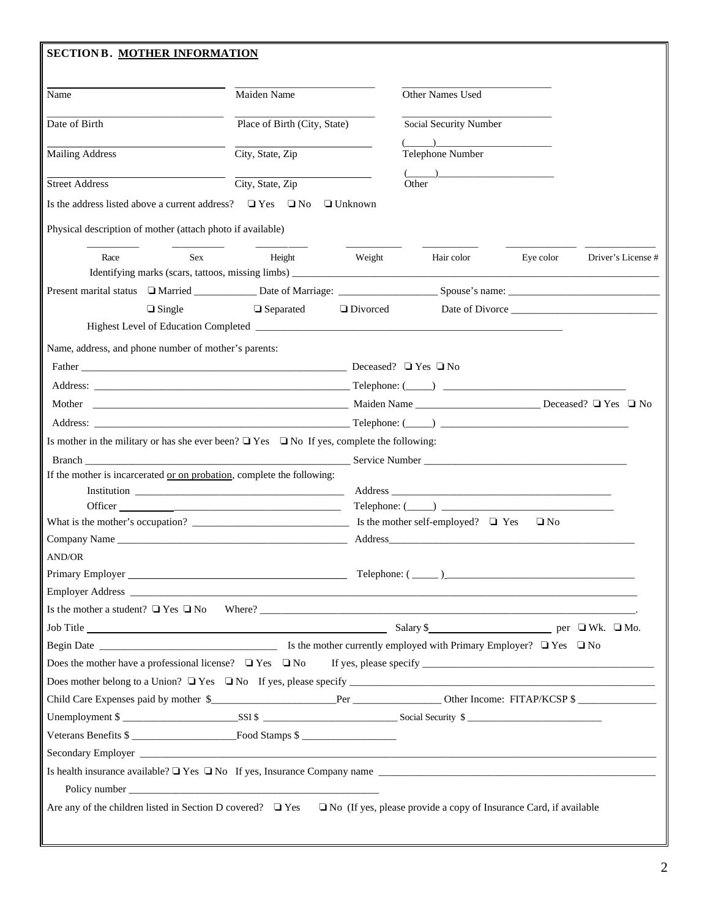| <b>SECTION B. MOTHER INFORMATION</b>                                                                                                                                                                                                  |                              |                 |                                                                    |           |                   |
|---------------------------------------------------------------------------------------------------------------------------------------------------------------------------------------------------------------------------------------|------------------------------|-----------------|--------------------------------------------------------------------|-----------|-------------------|
|                                                                                                                                                                                                                                       |                              |                 |                                                                    |           |                   |
| Name                                                                                                                                                                                                                                  | Maiden Name                  |                 | Other Names Used                                                   |           |                   |
| Date of Birth                                                                                                                                                                                                                         | Place of Birth (City, State) |                 | Social Security Number                                             |           |                   |
| <b>Mailing Address</b>                                                                                                                                                                                                                | City, State, Zip             |                 | $\begin{pmatrix} 1 & 1 \\ 1 & 1 \end{pmatrix}$<br>Telephone Number |           |                   |
| <b>Street Address</b>                                                                                                                                                                                                                 | City, State, Zip             |                 | Other                                                              |           |                   |
| Is the address listed above a current address? $\Box$ Yes $\Box$ No                                                                                                                                                                   |                              | $\Box$ Unknown  |                                                                    |           |                   |
| Physical description of mother (attach photo if available)                                                                                                                                                                            |                              |                 |                                                                    |           |                   |
| <b>Sex</b><br>Race                                                                                                                                                                                                                    | Height                       | Weight          | Hair color                                                         | Eye color | Driver's License# |
|                                                                                                                                                                                                                                       |                              |                 |                                                                    |           |                   |
| $\Box$ Single                                                                                                                                                                                                                         | $\Box$ Separated             | $\Box$ Divorced |                                                                    |           | Date of Divorce   |
|                                                                                                                                                                                                                                       |                              |                 |                                                                    |           |                   |
| Name, address, and phone number of mother's parents:                                                                                                                                                                                  |                              |                 |                                                                    |           |                   |
|                                                                                                                                                                                                                                       |                              |                 |                                                                    |           |                   |
|                                                                                                                                                                                                                                       |                              |                 |                                                                    |           |                   |
|                                                                                                                                                                                                                                       |                              |                 |                                                                    |           |                   |
|                                                                                                                                                                                                                                       |                              |                 |                                                                    |           |                   |
| Is mother in the military or has she ever been? $\Box$ Yes $\Box$ No If yes, complete the following:                                                                                                                                  |                              |                 |                                                                    |           |                   |
|                                                                                                                                                                                                                                       |                              |                 |                                                                    |           |                   |
| If the mother is incarcerated or on probation, complete the following:                                                                                                                                                                |                              |                 |                                                                    |           |                   |
|                                                                                                                                                                                                                                       |                              |                 |                                                                    |           |                   |
|                                                                                                                                                                                                                                       |                              |                 | $\text{Telephone: } (\_\_\_\_\_\_\_\_\_\_\$                        |           |                   |
|                                                                                                                                                                                                                                       |                              |                 | Is the mother self-employed? $\Box$ Yes                            | $\Box$ No |                   |
|                                                                                                                                                                                                                                       |                              |                 |                                                                    |           |                   |
| <b>AND/OR</b>                                                                                                                                                                                                                         |                              |                 |                                                                    |           |                   |
|                                                                                                                                                                                                                                       |                              |                 |                                                                    |           |                   |
|                                                                                                                                                                                                                                       |                              |                 |                                                                    |           |                   |
| Job Title <b>Example 2018</b> Salary \$ Salary \$ Part 2018 Professor Professor Professor Professor Professor Professor Professor Professor Professor Professor Professor Professor Professor Professor Professor Professor Professor |                              |                 |                                                                    |           |                   |
|                                                                                                                                                                                                                                       |                              |                 |                                                                    |           |                   |
|                                                                                                                                                                                                                                       |                              |                 |                                                                    |           |                   |
|                                                                                                                                                                                                                                       |                              |                 |                                                                    |           |                   |
|                                                                                                                                                                                                                                       |                              |                 |                                                                    |           |                   |
|                                                                                                                                                                                                                                       |                              |                 |                                                                    |           |                   |
| Veterans Benefits \$                                                                                                                                                                                                                  |                              |                 |                                                                    |           |                   |
|                                                                                                                                                                                                                                       |                              |                 |                                                                    |           |                   |
|                                                                                                                                                                                                                                       |                              |                 |                                                                    |           |                   |
|                                                                                                                                                                                                                                       |                              |                 |                                                                    |           |                   |
| Are any of the children listed in Section D covered? $\Box$ Yes $\Box$ No (If yes, please provide a copy of Insurance Card, if available                                                                                              |                              |                 |                                                                    |           |                   |
|                                                                                                                                                                                                                                       |                              |                 |                                                                    |           |                   |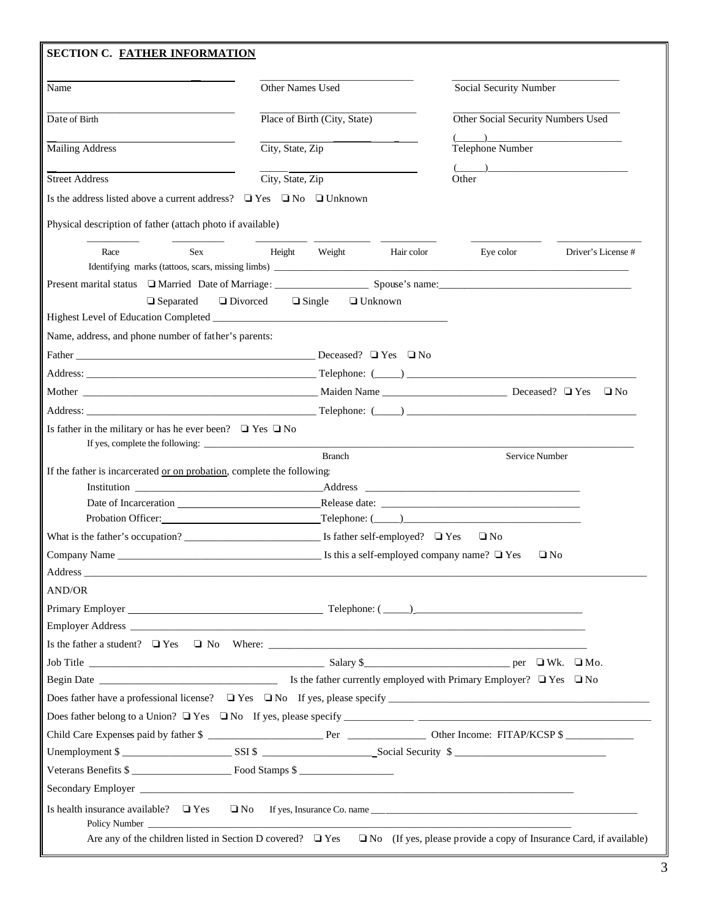| Name                                                                                                                                                                                                                           | Other Names Used<br>Place of Birth (City, State)<br>City, State, Zip<br>City, State, Zip |            | Social Security Number                                                                                                                                                                                                                                                                                                                                                                                                                                                                                                                                                                                                                                                                                                                                                                                                                                                                                    |                    |  |
|--------------------------------------------------------------------------------------------------------------------------------------------------------------------------------------------------------------------------------|------------------------------------------------------------------------------------------|------------|-----------------------------------------------------------------------------------------------------------------------------------------------------------------------------------------------------------------------------------------------------------------------------------------------------------------------------------------------------------------------------------------------------------------------------------------------------------------------------------------------------------------------------------------------------------------------------------------------------------------------------------------------------------------------------------------------------------------------------------------------------------------------------------------------------------------------------------------------------------------------------------------------------------|--------------------|--|
| Date of Birth                                                                                                                                                                                                                  |                                                                                          |            | Other Social Security Numbers Used<br>$\overline{(\hspace{.1cm}\cdot\hspace{.1cm}\cdot\hspace{.1cm} \cdot\hspace{.1cm} \cdot\hspace{.1cm} \cdot\hspace{.1cm} \cdot\hspace{.1cm} \cdot\hspace{.1cm} \cdot\hspace{.1cm} \cdot\hspace{.1cm} \cdot\hspace{.1cm} \cdot\hspace{.1cm} \cdot\hspace{.1cm} \cdot\hspace{.1cm} \cdot\hspace{.1cm} \cdot\hspace{.1cm} \cdot\hspace{.1cm} \cdot\hspace{.1cm} \cdot\hspace{.1cm} \cdot\hspace{.1cm} \cdot\hspace{.1cm} \cdot\hspace{.1cm}$<br>Telephone Number<br>$\begin{picture}(20,10) \put(0,0){\dashbox{0.5}(5,0){ }} \put(15,0){\circle{10}} \put(15,0){\circle{10}} \put(15,0){\circle{10}} \put(15,0){\circle{10}} \put(15,0){\circle{10}} \put(15,0){\circle{10}} \put(15,0){\circle{10}} \put(15,0){\circle{10}} \put(15,0){\circle{10}} \put(15,0){\circle{10}} \put(15,0){\circle{10}} \put(15,0){\circle{10}} \put(15,0){\circle{10}} \put(15,0$<br>Other |                    |  |
| <b>Mailing Address</b>                                                                                                                                                                                                         |                                                                                          |            |                                                                                                                                                                                                                                                                                                                                                                                                                                                                                                                                                                                                                                                                                                                                                                                                                                                                                                           |                    |  |
| <b>Street Address</b>                                                                                                                                                                                                          |                                                                                          |            |                                                                                                                                                                                                                                                                                                                                                                                                                                                                                                                                                                                                                                                                                                                                                                                                                                                                                                           |                    |  |
| Is the address listed above a current address? $\Box$ Yes $\Box$ No $\Box$ Unknown                                                                                                                                             |                                                                                          |            |                                                                                                                                                                                                                                                                                                                                                                                                                                                                                                                                                                                                                                                                                                                                                                                                                                                                                                           |                    |  |
| Physical description of father (attach photo if available)                                                                                                                                                                     |                                                                                          |            |                                                                                                                                                                                                                                                                                                                                                                                                                                                                                                                                                                                                                                                                                                                                                                                                                                                                                                           |                    |  |
| <b>Sex</b><br>Race                                                                                                                                                                                                             | Height<br>Weight                                                                         | Hair color | Eye color                                                                                                                                                                                                                                                                                                                                                                                                                                                                                                                                                                                                                                                                                                                                                                                                                                                                                                 | Driver's License # |  |
|                                                                                                                                                                                                                                |                                                                                          |            |                                                                                                                                                                                                                                                                                                                                                                                                                                                                                                                                                                                                                                                                                                                                                                                                                                                                                                           |                    |  |
| Present marital status □ Married Date of Marriage: Spouse's name: Spouse's name: Spouse's name:                                                                                                                                |                                                                                          |            |                                                                                                                                                                                                                                                                                                                                                                                                                                                                                                                                                                                                                                                                                                                                                                                                                                                                                                           |                    |  |
| $\Box$ Separated                                                                                                                                                                                                               | $\Box$ Divorced<br>$\Box$ Single<br>$\Box$ Unknown                                       |            |                                                                                                                                                                                                                                                                                                                                                                                                                                                                                                                                                                                                                                                                                                                                                                                                                                                                                                           |                    |  |
| Name, address, and phone number of father's parents:                                                                                                                                                                           |                                                                                          |            |                                                                                                                                                                                                                                                                                                                                                                                                                                                                                                                                                                                                                                                                                                                                                                                                                                                                                                           |                    |  |
| Father Deceased? □ Yes □ No                                                                                                                                                                                                    |                                                                                          |            |                                                                                                                                                                                                                                                                                                                                                                                                                                                                                                                                                                                                                                                                                                                                                                                                                                                                                                           |                    |  |
|                                                                                                                                                                                                                                |                                                                                          |            |                                                                                                                                                                                                                                                                                                                                                                                                                                                                                                                                                                                                                                                                                                                                                                                                                                                                                                           |                    |  |
|                                                                                                                                                                                                                                |                                                                                          |            |                                                                                                                                                                                                                                                                                                                                                                                                                                                                                                                                                                                                                                                                                                                                                                                                                                                                                                           | $\Box$ No          |  |
| Address: 2008. 2008. [2013] Telephone: (2014) 2008. [2013] Telephone: (2014) 2008. [2014] 2014. [2014] 2014. [2014] 2014. [2014] 2014. [2014] 2014. [2014] 2014. [2014] 2014. [2014] 2014. [2014] 2014. [2014] 2014. [2014] 20 |                                                                                          |            |                                                                                                                                                                                                                                                                                                                                                                                                                                                                                                                                                                                                                                                                                                                                                                                                                                                                                                           |                    |  |
|                                                                                                                                                                                                                                |                                                                                          |            |                                                                                                                                                                                                                                                                                                                                                                                                                                                                                                                                                                                                                                                                                                                                                                                                                                                                                                           |                    |  |
|                                                                                                                                                                                                                                | <b>Branch</b>                                                                            |            | Service Number                                                                                                                                                                                                                                                                                                                                                                                                                                                                                                                                                                                                                                                                                                                                                                                                                                                                                            |                    |  |
|                                                                                                                                                                                                                                |                                                                                          |            |                                                                                                                                                                                                                                                                                                                                                                                                                                                                                                                                                                                                                                                                                                                                                                                                                                                                                                           |                    |  |
| Date of Incarceration                                                                                                                                                                                                          |                                                                                          |            |                                                                                                                                                                                                                                                                                                                                                                                                                                                                                                                                                                                                                                                                                                                                                                                                                                                                                                           |                    |  |
| Probation Officer:                                                                                                                                                                                                             |                                                                                          |            | $\text{Telephone: } (\_\_\_\_\_\_\_\_\$<br>$\Box$ No                                                                                                                                                                                                                                                                                                                                                                                                                                                                                                                                                                                                                                                                                                                                                                                                                                                      |                    |  |
|                                                                                                                                                                                                                                |                                                                                          |            |                                                                                                                                                                                                                                                                                                                                                                                                                                                                                                                                                                                                                                                                                                                                                                                                                                                                                                           | $\Box$ No          |  |
|                                                                                                                                                                                                                                |                                                                                          |            | Is this a self-employed company name? $\Box$ Yes                                                                                                                                                                                                                                                                                                                                                                                                                                                                                                                                                                                                                                                                                                                                                                                                                                                          |                    |  |
| If the father is incarcerated or on probation, complete the following:<br>Company Name<br>Address _<br>AND/OR                                                                                                                  |                                                                                          |            |                                                                                                                                                                                                                                                                                                                                                                                                                                                                                                                                                                                                                                                                                                                                                                                                                                                                                                           |                    |  |
|                                                                                                                                                                                                                                |                                                                                          |            |                                                                                                                                                                                                                                                                                                                                                                                                                                                                                                                                                                                                                                                                                                                                                                                                                                                                                                           |                    |  |
|                                                                                                                                                                                                                                |                                                                                          |            |                                                                                                                                                                                                                                                                                                                                                                                                                                                                                                                                                                                                                                                                                                                                                                                                                                                                                                           |                    |  |
|                                                                                                                                                                                                                                |                                                                                          |            |                                                                                                                                                                                                                                                                                                                                                                                                                                                                                                                                                                                                                                                                                                                                                                                                                                                                                                           |                    |  |
|                                                                                                                                                                                                                                |                                                                                          |            |                                                                                                                                                                                                                                                                                                                                                                                                                                                                                                                                                                                                                                                                                                                                                                                                                                                                                                           |                    |  |
|                                                                                                                                                                                                                                |                                                                                          |            |                                                                                                                                                                                                                                                                                                                                                                                                                                                                                                                                                                                                                                                                                                                                                                                                                                                                                                           |                    |  |
|                                                                                                                                                                                                                                |                                                                                          |            |                                                                                                                                                                                                                                                                                                                                                                                                                                                                                                                                                                                                                                                                                                                                                                                                                                                                                                           |                    |  |
|                                                                                                                                                                                                                                |                                                                                          |            |                                                                                                                                                                                                                                                                                                                                                                                                                                                                                                                                                                                                                                                                                                                                                                                                                                                                                                           |                    |  |
|                                                                                                                                                                                                                                |                                                                                          |            |                                                                                                                                                                                                                                                                                                                                                                                                                                                                                                                                                                                                                                                                                                                                                                                                                                                                                                           |                    |  |
|                                                                                                                                                                                                                                |                                                                                          |            |                                                                                                                                                                                                                                                                                                                                                                                                                                                                                                                                                                                                                                                                                                                                                                                                                                                                                                           |                    |  |
|                                                                                                                                                                                                                                |                                                                                          |            |                                                                                                                                                                                                                                                                                                                                                                                                                                                                                                                                                                                                                                                                                                                                                                                                                                                                                                           |                    |  |
|                                                                                                                                                                                                                                |                                                                                          |            |                                                                                                                                                                                                                                                                                                                                                                                                                                                                                                                                                                                                                                                                                                                                                                                                                                                                                                           |                    |  |
| Does father have a professional license? $\Box$ Yes $\Box$ No If yes, please specify<br>Child Care Expenses paid by father \$<br>Veterans Benefits \$<br>Is health insurance available? $\Box$ Yes                             | $\Box$ No If yes, Insurance Co. name                                                     |            |                                                                                                                                                                                                                                                                                                                                                                                                                                                                                                                                                                                                                                                                                                                                                                                                                                                                                                           |                    |  |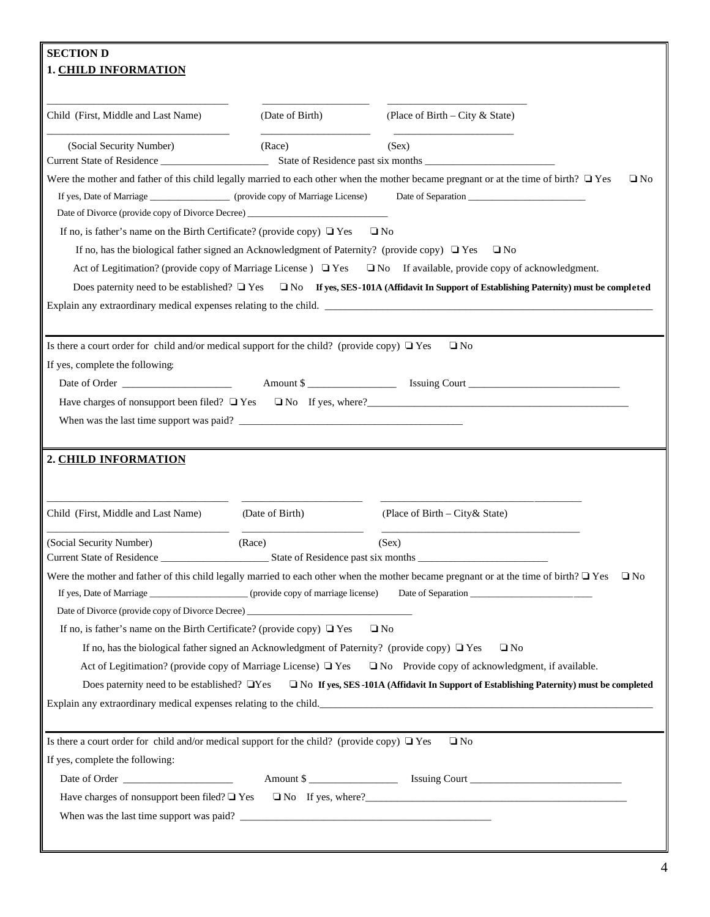| <b>SECTION D</b>                                                                                  |                                    |                                                                                                                                                                                                                                    |
|---------------------------------------------------------------------------------------------------|------------------------------------|------------------------------------------------------------------------------------------------------------------------------------------------------------------------------------------------------------------------------------|
| <b>1. CHILD INFORMATION</b>                                                                       |                                    |                                                                                                                                                                                                                                    |
|                                                                                                   |                                    |                                                                                                                                                                                                                                    |
| Child (First, Middle and Last Name)                                                               | (Date of Birth)                    | (Place of Birth – City & State)                                                                                                                                                                                                    |
| (Social Security Number)<br>Current State of Residence                                            | (Race)                             | (Sex)                                                                                                                                                                                                                              |
|                                                                                                   |                                    | Were the mother and father of this child legally married to each other when the mother became pregnant or at the time of birth? $\Box$ Yes<br>$\Box$ No                                                                            |
| If yes, Date of Marriage __________________ (provide copy of Marriage License)                    |                                    |                                                                                                                                                                                                                                    |
| Date of Divorce (provide copy of Divorce Decree) ________________________________                 |                                    |                                                                                                                                                                                                                                    |
| If no, is father's name on the Birth Certificate? (provide copy) $\Box$ Yes $\Box$ No             |                                    |                                                                                                                                                                                                                                    |
| If no, has the biological father signed an Acknowledgment of Paternity? (provide copy) $\Box$ Yes |                                    | $\Box$ No                                                                                                                                                                                                                          |
|                                                                                                   |                                    | Act of Legitimation? (provide copy of Marriage License ) $\Box$ Yes $\Box$ No If available, provide copy of acknowledgment.                                                                                                        |
|                                                                                                   |                                    | Does paternity need to be established? $\Box$ Yes $\Box$ No If yes, SES-101A (Affidavit In Support of Establishing Paternity) must be completed                                                                                    |
|                                                                                                   |                                    | Explain any extraordinary medical expenses relating to the child.                                                                                                                                                                  |
|                                                                                                   |                                    |                                                                                                                                                                                                                                    |
| Is there a court order for child and/or medical support for the child? (provide copy) $\Box$ Yes  |                                    | $\Box$ No                                                                                                                                                                                                                          |
| If yes, complete the following:                                                                   |                                    |                                                                                                                                                                                                                                    |
|                                                                                                   |                                    |                                                                                                                                                                                                                                    |
|                                                                                                   |                                    | Have charges of nonsupport been filed? Tes TNo If yes, where?<br>The Secretary Contract of nonsupport been filed? Tes TNo If yes, where?<br>The Secretary Contract of the Secretary Contract of the Secretary Contract of the Secr |
| When was the last time support was paid?                                                          |                                    |                                                                                                                                                                                                                                    |
|                                                                                                   |                                    |                                                                                                                                                                                                                                    |
| 2. CHILD INFORMATION                                                                              |                                    |                                                                                                                                                                                                                                    |
| Child (First, Middle and Last Name)                                                               | (Date of Birth)                    | (Place of Birth – City & State)                                                                                                                                                                                                    |
| (Social Security Number)                                                                          | (Race)                             | (Sex)                                                                                                                                                                                                                              |
| <b>Current State of Residence</b>                                                                 | State of Residence past six months |                                                                                                                                                                                                                                    |
|                                                                                                   |                                    | Were the mother and father of this child legally married to each other when the mother became pregnant or at the time of birth? $\Box$ Yes<br>$\Box$ No                                                                            |
| If yes, Date of Marriage ______________________ (provide copy of marriage license)                |                                    |                                                                                                                                                                                                                                    |
| Date of Divorce (provide copy of Divorce Decree) ________________________________                 |                                    |                                                                                                                                                                                                                                    |
| If no, is father's name on the Birth Certificate? (provide copy) $\Box$ Yes                       |                                    | $\Box$ No                                                                                                                                                                                                                          |
| If no, has the biological father signed an Acknowledgment of Paternity? (provide copy) $\Box$ Yes |                                    | $\Box$ No                                                                                                                                                                                                                          |
|                                                                                                   |                                    | Act of Legitimation? (provide copy of Marriage License) $\Box$ Yes $\Box$ No Provide copy of acknowledgment, if available.                                                                                                         |
|                                                                                                   |                                    | Does paternity need to be established? $\Box$ Yes $\Box$ No If yes, SES -101A (Affidavit In Support of Establishing Paternity) must be completed                                                                                   |
|                                                                                                   |                                    | Explain any extraordinary medical expenses relating to the child.                                                                                                                                                                  |
|                                                                                                   |                                    |                                                                                                                                                                                                                                    |
| Is there a court order for child and/or medical support for the child? (provide copy) $\Box$ Yes  |                                    | $\Box$ No                                                                                                                                                                                                                          |
| If yes, complete the following:                                                                   |                                    |                                                                                                                                                                                                                                    |
|                                                                                                   |                                    |                                                                                                                                                                                                                                    |
|                                                                                                   |                                    | Have charges of nonsupport been filed? $\Box$ Yes $\Box$ No If yes, where?                                                                                                                                                         |
|                                                                                                   |                                    |                                                                                                                                                                                                                                    |
|                                                                                                   |                                    |                                                                                                                                                                                                                                    |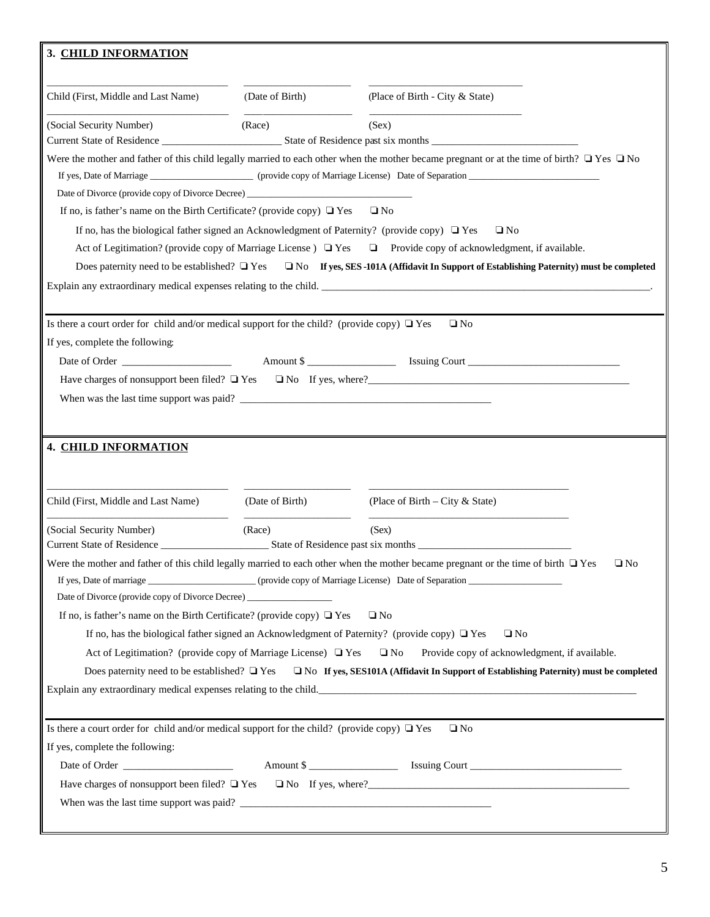| 3. CHILD INFORMATION                                                                             |                 |                                                                                                                                                      |
|--------------------------------------------------------------------------------------------------|-----------------|------------------------------------------------------------------------------------------------------------------------------------------------------|
| Child (First, Middle and Last Name)                                                              | (Date of Birth) | (Place of Birth - City & State)                                                                                                                      |
| (Social Security Number)                                                                         | (Race)          | (Sex)                                                                                                                                                |
| Date of Divorce (provide copy of Divorce Decree) ________________________________                |                 | Were the mother and father of this child legally married to each other when the mother became pregnant or at the time of birth? $\Box$ Yes $\Box$ No |
| If no, is father's name on the Birth Certificate? (provide copy) $\Box$ Yes $\Box$ No            |                 |                                                                                                                                                      |
|                                                                                                  |                 | If no, has the biological father signed an Acknowledgment of Paternity? (provide copy) $\Box$ Yes $\Box$ No                                          |
|                                                                                                  |                 | Act of Legitimation? (provide copy of Marriage License) $\Box$ Yes $\Box$ Provide copy of acknowledgment, if available.                              |
|                                                                                                  |                 | Does paternity need to be established? $\Box$ Yes $\Box$ No If yes, SES -101A (Affidavit In Support of Establishing Paternity) must be completed     |
|                                                                                                  |                 |                                                                                                                                                      |
|                                                                                                  |                 |                                                                                                                                                      |
| Is there a court order for child and/or medical support for the child? (provide copy) $\Box$ Yes |                 | $\square$ No                                                                                                                                         |
| If yes, complete the following:                                                                  |                 |                                                                                                                                                      |
|                                                                                                  |                 |                                                                                                                                                      |
|                                                                                                  |                 | Have charges of nonsupport been filed? $\Box$ Yes $\Box$ No If yes, where?                                                                           |
|                                                                                                  |                 |                                                                                                                                                      |
|                                                                                                  |                 |                                                                                                                                                      |
|                                                                                                  |                 |                                                                                                                                                      |
| 4. CHILD INFORMATION                                                                             |                 |                                                                                                                                                      |
|                                                                                                  |                 |                                                                                                                                                      |
| Child (First, Middle and Last Name)                                                              | (Date of Birth) | (Place of Birth – City & State)                                                                                                                      |
| (Social Security Number)                                                                         | (Race)          | (Sex)                                                                                                                                                |
|                                                                                                  |                 |                                                                                                                                                      |
|                                                                                                  |                 | Were the mother and father of this child legally married to each other when the mother became pregnant or the time of birth $\Box$ Yes $\Box$ No     |
|                                                                                                  |                 | If yes, Date of marriage research of Marriage License) Date of Separation research of Marriage License by Date of Separation                         |
| Date of Divorce (provide copy of Divorce Decree) ________________________________                |                 |                                                                                                                                                      |
| If no, is father's name on the Birth Certificate? (provide copy) $\Box$ Yes                      |                 | $\Box$ No                                                                                                                                            |
|                                                                                                  |                 | If no, has the biological father signed an Acknowledgment of Paternity? (provide copy) $\Box$ Yes<br>$\Box$ No                                       |
| Act of Legitimation? (provide copy of Marriage License) $\Box$ Yes $\Box$ No                     |                 | Provide copy of acknowledgment, if available.                                                                                                        |
|                                                                                                  |                 | Does paternity need to be established? $\Box$ Yes $\Box$ No If yes, SES101A (Affidavit In Support of Establishing Paternity) must be completed       |
|                                                                                                  |                 | Explain any extraordinary medical expenses relating to the child.                                                                                    |
|                                                                                                  |                 |                                                                                                                                                      |
| Is there a court order for child and/or medical support for the child? (provide copy) $\Box$ Yes |                 | $\Box$ No                                                                                                                                            |
| If yes, complete the following:                                                                  |                 |                                                                                                                                                      |
|                                                                                                  |                 |                                                                                                                                                      |
|                                                                                                  |                 | Have charges of nonsupport been filed? $\Box$ Yes $\Box$ No If yes, where?                                                                           |
|                                                                                                  |                 |                                                                                                                                                      |
|                                                                                                  |                 |                                                                                                                                                      |
|                                                                                                  |                 |                                                                                                                                                      |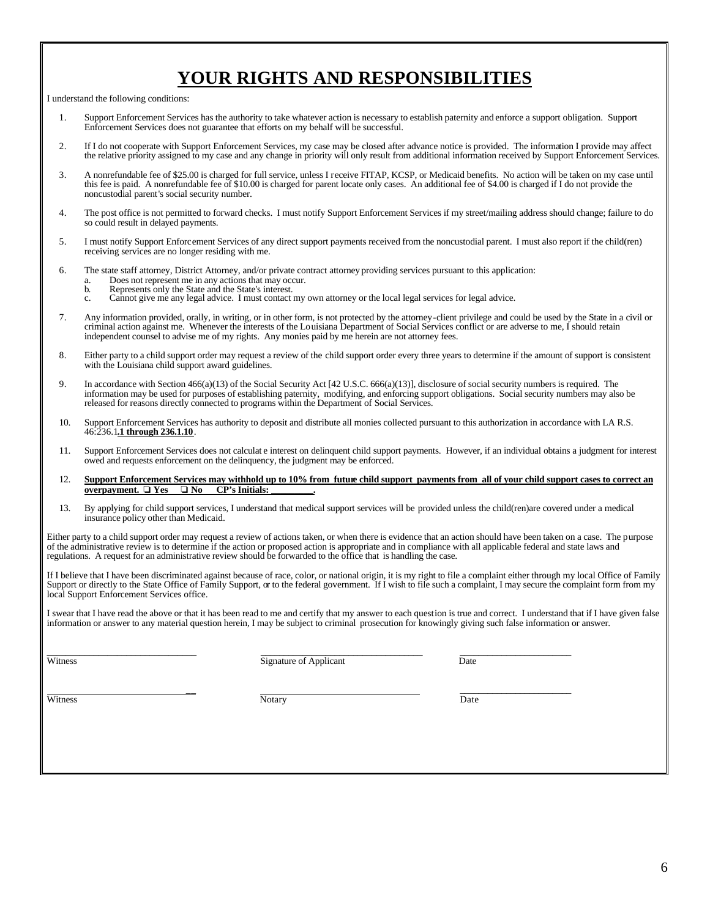# **YOUR RIGHTS AND RESPONSIBILITIES**

I understand the following conditions:

- 1. Support Enforcement Services has the authority to take whatever action is necessary to establish paternity and enforce a support obligation. Support Enforcement Services does not guarantee that efforts on my behalf will be successful.
- 2. If I do not cooperate with Support Enforcement Services, my case may be closed after advance notice is provided. The information I provide may affect the relative priority assigned to my case and any change in priority will only result from additional information received by Support Enforcement Services.
- 3. A nonrefundable fee of \$25.00 is charged for full service, unless I receive FITAP, KCSP, or Medicaid benefits. No action will be taken on my case until this fee is paid. A nonrefundable fee of \$10.00 is charged for parent locate only cases. An additional fee of \$4.00 is charged if I do not provide the noncustodial parent's social security number.
- 4. The post office is not permitted to forward checks. I must notify Support Enforcement Services if my street/mailing address should change; failure to do so could result in delayed payments.
- 5. I must notify Support Enforcement Services of any direct support payments received from the noncustodial parent. I must also report if the child(ren) receiving services are no longer residing with me.
- 6. The state staff attorney, District Attorney, and/or private contract attorney providing services pursuant to this application:
	- a. Does not represent me in any actions that may occur.
	- b. Represents only the State and the State's interest.<br>c. Cannot give me any legal advice. I must contact
	- c. Cannot give me any legal advice. I must contact my own attorney or the local legal services for legal advice.
- 7. Any information provided, orally, in writing, or in other form, is not protected by the attorney-client privilege and could be used by the State in a civil or criminal action against me. Whenever the interests of the Louisiana Department of Social Services conflict or are adverse to me, I should retain independent counsel to advise me of my rights. Any monies paid by me herein are not attorney fees.
- 8. Either party to a child support order may request a review of the child support order every three years to determine if the amount of support is consistent with the Louisiana child support award guidelines.
- 9. In accordance with Section 466(a)(13) of the Social Security Act [42 U.S.C. 666(a)(13)], disclosure of social security numbers is required. The information may be used for purposes of establishing paternity, modifying, and enforcing support obligations. Social security numbers may also be released for reasons directly connected to programs within the Department of Social Services.
- 10. Support Enforcement Services has authority to deposit and distribute all monies collected pursuant to this authorization in accordance with LA R.S. 46:236.1**.1 through 236.1.10**.
- 11. Support Enforcement Services does not calculat e interest on delinquent child support payments. However, if an individual obtains a judgment for interest owed and requests enforcement on the delinquency, the judgment may be enforced.
- 12. **Support Enforcement Services may withhold up to 10% from future child support payments from all of your child support cases to correct an overpayment.**  $\Box$  **Yes**  $\Box$  **No**  $\Box$  **CP's Initials: <u>overpayment.**  $\Box$  **Y**es  $\Box$  **No**</u>
- 13. By applying for child support services, I understand that medical support services will be provided unless the child(ren)are covered under a medical insurance policy other than Medicaid.

Either party to a child support order may request a review of actions taken, or when there is evidence that an action should have been taken on a case. The purpose of the administrative review is to determine if the action or proposed action is appropriate and in compliance with all applicable federal and state laws and regulations. A request for an administrative review should be forwarded to the office that is handling the case.

If I believe that I have been discriminated against because of race, color, or national origin, it is my right to file a complaint either through my local Office of Family Support or directly to the State Office of Family Support, or to the federal government. If I wish to file such a complaint, I may secure the complaint form from my local Support Enforcement Services office.

I swear that I have read the above or that it has been read to me and certify that my answer to each question is true and correct. I understand that if I have given false information or answer to any material question herein, I may be subject to criminal prosecution for knowingly giving such false information or answer.

\_\_\_\_\_\_\_\_\_\_\_\_\_\_\_\_\_\_\_\_\_\_\_\_\_\_\_\_\_\_\_\_ \_\_\_\_\_\_\_\_\_\_\_\_\_\_\_\_\_\_\_\_\_\_\_\_\_\_\_\_\_\_\_\_\_\_\_ \_\_\_\_\_\_\_\_\_\_\_\_\_\_\_\_\_\_\_\_\_\_\_\_ Witness Date **Signature of Applicant** Date Date Date

 \_\_ \_\_\_\_\_\_\_\_\_\_\_\_\_\_\_\_\_\_\_\_\_\_\_\_ Witness **Notary Notary Date**